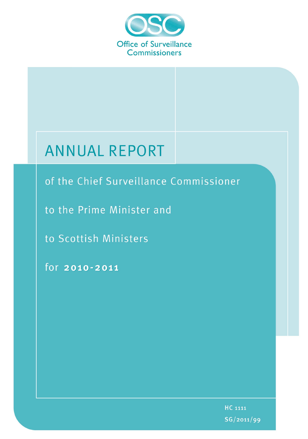

# **ANNUAL REPORT**

of the Chief Surveillance Commissioner

to the Prime Minister and

to Scottish Ministers

for 2010-2011

## HC 1111 SG/2011/99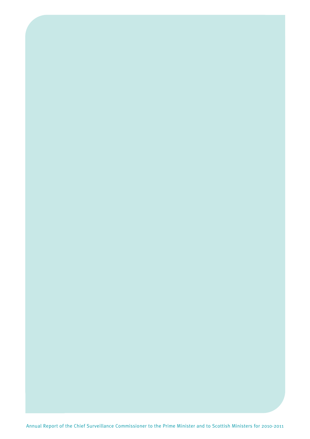## Annual Report of the Chief Surveillance Commissioner to the Prime Minister and to Scottish Ministers for 2010-2011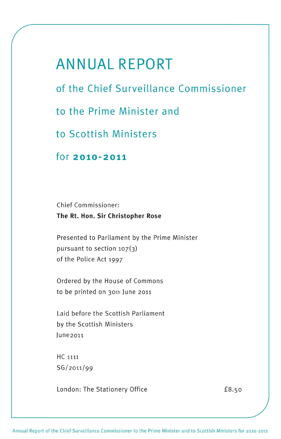# **ANNUAL REPORT**

of the Chief Surveillance Commissioner

to the Prime Minister and

to Scottish Ministers

# for 2010-2011

**Chief Commissioner:** 

The Rt. Hon. Sir Christopher Rose

Presented to Parliament by the Prime Minister pursuant to section  $107(3)$ of the Police Act 1997

Ordered by the House of Commons to be printed on 30th June 2011

Laid before the Scottish Parliament



Annual Report of the Chief Surveillance Commissioner to the Prime Minister and to Scottish Ministers for 2010-2011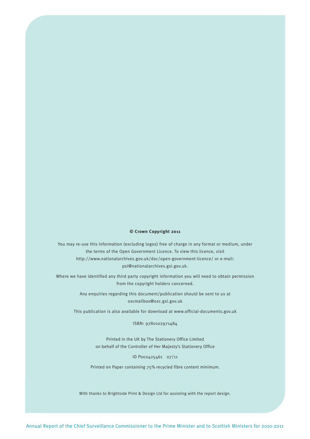#### **© Crown Copyright 2011**

You may re-use this information (excluding logos) free of charge in any format or medium, under the terms of the Open Government Licence. To view this licence, visit http://www.nationalarchives.gov.uk/doc/open-government-licence/ or e-mail: psi@nationalarchives.gsi.gov.uk.

Where we have identified any third party copyright information you will need to obtain permission from the copyright holders concerned.

> Any enquiries regarding this document/publication should be sent to us at oscmailbox@osc.gsi.gov.uk

This publication is also available for download at www.official-documents.gov.uk

ISBN: 9780102971484

Printed in the UK by The Stationery Office Limited on behalf of the Controller of Her Majesty's Stationery Office

ID P002425461 07/11

Printed on Paper containing 75% recycled fibre content minimum.

With thanks to Brightside Print & Design Ltd for assisting with the report design.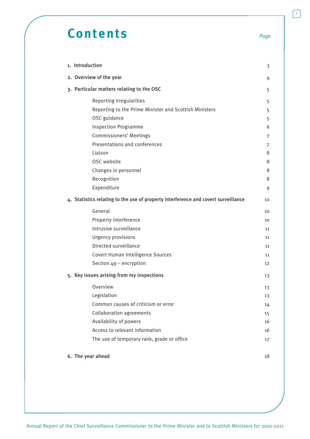## **Contents** *Page*

| 1. Introduction                                                                    | 3  |
|------------------------------------------------------------------------------------|----|
| 2. Overview of the year                                                            | 4  |
| 3. Particular matters relating to the OSC                                          | 5  |
| Reporting irregularities                                                           | 5  |
| Reporting to the Prime Minister and Scottish Ministers                             | 5  |
| OSC guidance                                                                       | 5  |
| <b>Inspection Programme</b>                                                        | 6  |
| Commissioners' Meetings                                                            | 7  |
| Presentations and conferences                                                      | 7  |
| Liaison                                                                            | 8  |
| OSC website                                                                        | 8  |
| Changes in personnel                                                               | 8  |
| Recognition                                                                        | 8  |
| Expenditure                                                                        | 9  |
| 4. Statistics relating to the use of property interference and covert surveillance | 10 |
| General                                                                            | 10 |
| Property interference                                                              | 10 |
| Intrusive surveillance                                                             | 11 |
| Urgency provisions                                                                 | 11 |
| Directed surveillance                                                              | 11 |
| Covert Human Intelligence Sources                                                  | 11 |
| Section 49 - encryption                                                            | 12 |
| 5. Key issues arising from my inspections                                          | 13 |
| Overview                                                                           | 13 |
| Legislation                                                                        | 13 |
| Common causes of criticism or error                                                | 14 |
| <b>Collaboration agreements</b>                                                    | 15 |
| Availability of powers                                                             | 16 |
| Access to relevant information                                                     | 16 |
| The use of temporary rank, grade or office                                         | 17 |
| 6. The year ahead                                                                  | 18 |

1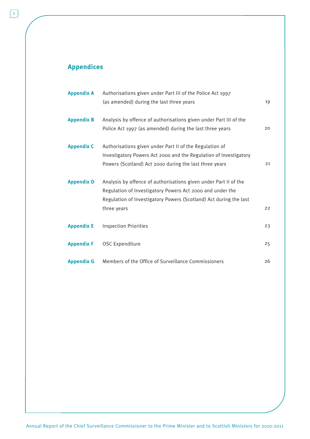### **Appendices**

| <b>Appendix A</b> | Authorisations given under Part III of the Police Act 1997<br>(as amended) during the last three years                                                                                                            | 19 |
|-------------------|-------------------------------------------------------------------------------------------------------------------------------------------------------------------------------------------------------------------|----|
| <b>Appendix B</b> | Analysis by offence of authorisations given under Part III of the<br>Police Act 1997 (as amended) during the last three years                                                                                     | 20 |
| <b>Appendix C</b> | Authorisations given under Part II of the Regulation of<br>Investigatory Powers Act 2000 and the Regulation of Investigatory<br>Powers (Scotland) Act 2000 during the last three years                            | 21 |
| <b>Appendix D</b> | Analysis by offence of authorisations given under Part II of the<br>Regulation of Investigatory Powers Act 2000 and under the<br>Regulation of Investigatory Powers (Scotland) Act during the last<br>three years | 22 |
| <b>Appendix E</b> | <b>Inspection Priorities</b>                                                                                                                                                                                      | 23 |
| <b>Appendix F</b> | <b>OSC Expenditure</b>                                                                                                                                                                                            | 25 |
| <b>Appendix G</b> | Members of the Office of Surveillance Commissioners                                                                                                                                                               | 26 |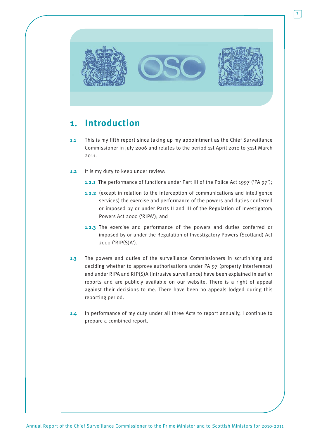





## **1. Introduction**

- **1.1** This is my fifth report since taking up my appointment as the Chief Surveillance Commissioner in July 2006 and relates to the period 1st April 2010 to 31st March 2011.
- **1.2** It is my duty to keep under review:
	- **1.2.1** The performance of functions under Part III of the Police Act 1997 ('PA 97');
	- **1.2.2** (except in relation to the interception of communications and intelligence services) the exercise and performance of the powers and duties conferred or imposed by or under Parts II and III of the Regulation of Investigatory Powers Act 2000 ('RIPA'); and
	- **1.2.3** The exercise and performance of the powers and duties conferred or imposed by or under the Regulation of Investigatory Powers (Scotland) Act 2000 ('RIP(S)A').
- **1.3** The powers and duties of the surveillance Commissioners in scrutinising and deciding whether to approve authorisations under PA 97 (property interference) and under RIPA and RIP(S)A (intrusive surveillance) have been explained in earlier reports and are publicly available on our website. There is a right of appeal against their decisions to me. There have been no appeals lodged during this reporting period.
- **1.4** In performance of my duty under all three Acts to report annually, I continue to prepare a combined report.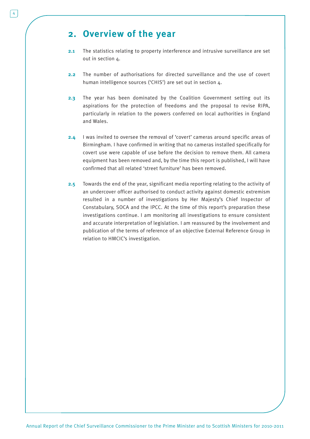### **2. Overview of the year**

- **2.1** The statistics relating to property interference and intrusive surveillance are set out in section 4.
- **2.2** The number of authorisations for directed surveillance and the use of covert human intelligence sources ('CHIS') are set out in section 4.
- **2.3** The year has been dominated by the Coalition Government setting out its aspirations for the protection of freedoms and the proposal to revise RIPA, particularly in relation to the powers conferred on local authorities in England and Wales.
- **2.4** I was invited to oversee the removal of 'covert' cameras around specific areas of Birmingham. I have confirmed in writing that no cameras installed specifically for covert use were capable of use before the decision to remove them. All camera equipment has been removed and, by the time this report is published, I will have confirmed that all related 'street furniture' has been removed.
- **2.5** Towards the end of the year, significant media reporting relating to the activity of an undercover officer authorised to conduct activity against domestic extremism resulted in a number of investigations by Her Majesty's Chief Inspector of Constabulary, SOCA and the IPCC. At the time of this report's preparation these investigations continue. I am monitoring all investigations to ensure consistent and accurate interpretation of legislation. I am reassured by the involvement and publication of the terms of reference of an objective External Reference Group in relation to HMCIC's investigation.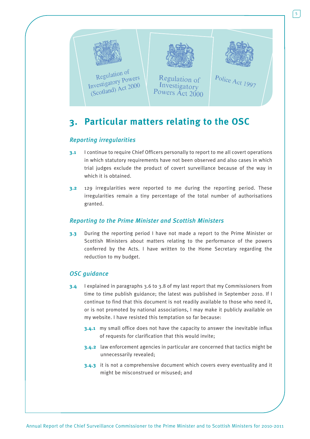

5

## **3. Particular matters relating to the OSC**

#### *Reporting irregularities*

- **3.1** I continue to require Chief Officers personally to report to me all covert operations in which statutory requirements have not been observed and also cases in which trial judges exclude the product of covert surveillance because of the way in which it is obtained.
- **3.2** 129 irregularities were reported to me during the reporting period. These irregularities remain a tiny percentage of the total number of authorisations granted.

#### *Reporting to the Prime Minister and Scottish Ministers*

**3.3** During the reporting period I have not made a report to the Prime Minister or Scottish Ministers about matters relating to the performance of the powers conferred by the Acts. I have written to the Home Secretary regarding the reduction to my budget.

#### *OSC guidance*

- **3.4** I explained in paragraphs 3.6 to 3.8 of my last report that my Commissioners from time to time publish guidance; the latest was published in September 2010. If I continue to find that this document is not readily available to those who need it, or is not promoted by national associations, I may make it publicly available on my website. I have resisted this temptation so far because:
	- **3.4.1** my small office does not have the capacity to answer the inevitable influx of requests for clarification that this would invite;
	- **3.4.2** law enforcement agencies in particular are concerned that tactics might be unnecessarily revealed;
	- **3.4.3** it is not a comprehensive document which covers every eventuality and it might be misconstrued or misused; and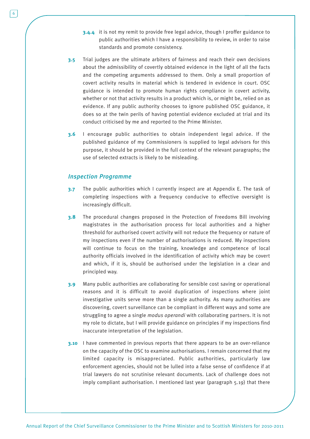- **3.4.4** it is not my remit to provide free legal advice, though I proffer guidance to public authorities which I have a responsibility to review, in order to raise standards and promote consistency.
- **3.5** Trial judges are the ultimate arbiters of fairness and reach their own decisions about the admissibility of covertly obtained evidence in the light of all the facts and the competing arguments addressed to them. Only a small proportion of covert activity results in material which is tendered in evidence in court. OSC guidance is intended to promote human rights compliance in covert activity, whether or not that activity results in a product which is, or might be, relied on as evidence. If any public authority chooses to ignore published OSC guidance, it does so at the twin perils of having potential evidence excluded at trial and its conduct criticised by me and reported to the Prime Minister.
- **3.6** I encourage public authorities to obtain independent legal advice. If the published guidance of my Commissioners is supplied to legal advisors for this purpose, it should be provided in the full context of the relevant paragraphs; the use of selected extracts is likely to be misleading.

#### *Inspection Programme*

- **3.7** The public authorities which I currently inspect are at Appendix E. The task of completing inspections with a frequency conducive to effective oversight is increasingly difficult.
- **3.8** The procedural changes proposed in the Protection of Freedoms Bill involving magistrates in the authorisation process for local authorities and a higher threshold for authorised covert activity will not reduce the frequency or nature of my inspections even if the number of authorisations is reduced. My inspections will continue to focus on the training, knowledge and competence of local authority officials involved in the identification of activity which may be covert and which, if it is, should be authorised under the legislation in a clear and principled way.
- **3.9** Many public authorities are collaborating for sensible cost saving or operational reasons and it is difficult to avoid duplication of inspections where joint investigative units serve more than a single authority. As many authorities are discovering, covert surveillance can be compliant in different ways and some are struggling to agree a single *modus operandi* with collaborating partners. It is not my role to dictate, but I will provide guidance on principles if my inspections find inaccurate interpretation of the legislation.
- **3.10** I have commented in previous reports that there appears to be an over-reliance on the capacity of the OSC to examine authorisations. I remain concerned that my limited capacity is misappreciated. Public authorities, particularly law enforcement agencies, should not be lulled into a false sense of confidence if at trial lawyers do not scrutinise relevant documents. Lack of challenge does not imply compliant authorisation. I mentioned last year (paragraph 5.19) that there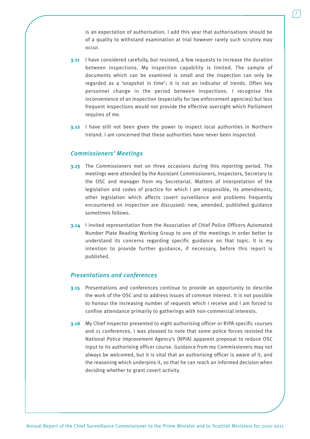is an expectation of authorisation. I add this year that authorisations should be of a quality to withstand examination at trial however rarely such scrutiny may occur.

- **3.11** I have considered carefully, but resisted, a few requests to increase the duration between inspections. My inspection capability is limited. The sample of documents which can be examined is small and the inspection can only be regarded as a 'snapshot in time'; it is not an indicator of trends. Often key personnel change in the period between inspections. I recognise the inconvenience of an inspection (especially for law enforcement agencies) but less frequent inspections would not provide the effective oversight which Parliament requires of me.
- **3.12** I have still not been given the power to inspect local authorities in Northern Ireland. I am concerned that these authorities have never been inspected.

#### *Commissioners' Meetings*

- **3.13** The Commissioners met on three occasions during this reporting period. The meetings were attended by the Assistant Commissioners, Inspectors, Secretary to the OSC and manager from my Secretariat. Matters of interpretation of the legislation and codes of practice for which I am responsible, its amendments, other legislation which affects covert surveillance and problems frequently encountered on inspection are discussed: new, amended, published guidance sometimes follows.
- **3.14** I invited representation from the Association of Chief Police Officers Automated Number Plate Reading Working Group to one of the meetings in order better to understand its concerns regarding specific guidance on that topic. It is my intention to provide further guidance, if necessary, before this report is published.

#### *Presentations and conferences*

- **3.15** Presentations and conferences continue to provide an opportunity to describe the work of the OSC and to address issues of common interest. It is not possible to honour the increasing number of requests which I receive and I am forced to confine attendance primarily to gatherings with non-commercial interests.
- **3.16** My Chief Inspector presented to eight authorising officer or RIPA specific courses and 11 conferences. I was pleased to note that some police forces resisted the National Police Improvement Agency's (NPIA) apparent proposal to reduce OSC input to its authorising officer course. Guidance from my Commissioners may not always be welcomed, but it is vital that an authorising officer is aware of it, and the reasoning which underpins it, so that he can reach an informed decision when deciding whether to grant covert activity.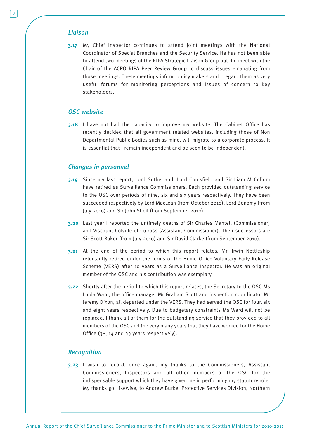#### *Liaison*

**3.17** My Chief Inspector continues to attend joint meetings with the National Coordinator of Special Branches and the Security Service. He has not been able to attend two meetings of the RIPA Strategic Liaison Group but did meet with the Chair of the ACPO RIPA Peer Review Group to discuss issues emanating from those meetings. These meetings inform policy makers and I regard them as very useful forums for monitoring perceptions and issues of concern to key stakeholders.

#### *OSC website*

**3.18** I have not had the capacity to improve my website. The Cabinet Office has recently decided that all government related websites, including those of Non Departmental Public Bodies such as mine, will migrate to a corporate process. It is essential that I remain independent and be seen to be independent.

#### *Changes in personnel*

- **3.19** Since my last report, Lord Sutherland, Lord Coulsfield and Sir Liam McCollum have retired as Surveillance Commissioners. Each provided outstanding service to the OSC over periods of nine, six and six years respectively. They have been succeeded respectively by Lord MacLean (from October 2010), Lord Bonomy (from July 2010) and Sir John Sheil (from September 2010).
- **3.20** Last year I reported the untimely deaths of Sir Charles Mantell (Commissioner) and Viscount Colville of Culross (Assistant Commissioner). Their successors are Sir Scott Baker (from July 2010) and Sir David Clarke (from September 2010).
- **3.21** At the end of the period to which this report relates, Mr. Irwin Nettleship reluctantly retired under the terms of the Home Office Voluntary Early Release Scheme (VERS) after 10 years as a Surveillance Inspector. He was an original member of the OSC and his contribution was exemplary.
- **3.22** Shortly after the period to which this report relates, the Secretary to the OSC Ms Linda Ward, the office manager Mr Graham Scott and inspection coordinator Mr Jeremy Dixon, all departed under the VERS. They had served the OSC for four, six and eight years respectively. Due to budgetary constraints Ms Ward will not be replaced. I thank all of them for the outstanding service that they provided to all members of the OSC and the very many years that they have worked for the Home Office (38, 14 and 33 years respectively).

#### *Recognition*

**3.23** I wish to record, once again, my thanks to the Commissioners, Assistant Commissioners, Inspectors and all other members of the OSC for the indispensable support which they have given me in performing my statutory role. My thanks go, likewise, to Andrew Burke, Protective Services Division, Northern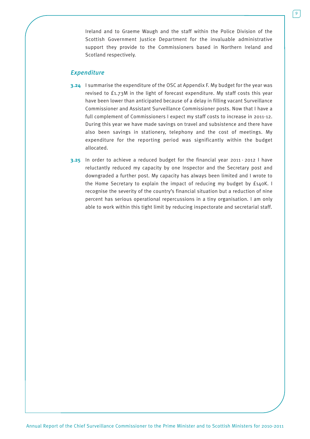Ireland and to Graeme Waugh and the staff within the Police Division of the Scottish Government Justice Department for the invaluable administrative support they provide to the Commissioners based in Northern Ireland and Scotland respectively.

#### *Expenditure*

- **3.24** I summarise the expenditure of the OSC at Appendix F. My budget for the year was revised to £1.73M in the light of forecast expenditure. My staff costs this year have been lower than anticipated because of a delay in filling vacant Surveillance Commissioner and Assistant Surveillance Commissioner posts. Now that I have a full complement of Commissioners I expect my staff costs to increase in 2011-12. During this year we have made savings on travel and subsistence and there have also been savings in stationery, telephony and the cost of meetings. My expenditure for the reporting period was significantly within the budget allocated.
- **3.25** In order to achieve a reduced budget for the financial year 2011 2012 I have reluctantly reduced my capacity by one Inspector and the Secretary post and downgraded a further post. My capacity has always been limited and I wrote to the Home Secretary to explain the impact of reducing my budget by £140K. I recognise the severity of the country's financial situation but a reduction of nine percent has serious operational repercussions in a tiny organisation. I am only able to work within this tight limit by reducing inspectorate and secretarial staff.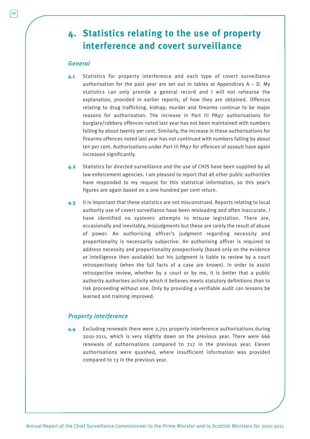## **4. Statistics relating to the use of property interference and covert surveillance**

#### *General*

- **4.1** Statistics for property interference and each type of covert surveillance authorisation for the past year are set out in tables at Appendices  $A - D$ . My statistics can only provide a general record and I will not rehearse the explanation, provided in earlier reports, of how they are obtained. Offences relating to drug trafficking, kidnap, murder and firearms continue to be major reasons for authorisation. The increase in Part III PA97 authorisations for burglary/robbery offences noted last year has not been maintained with numbers falling by about twenty per cent. Similarly, the increase in these authorisations for firearms offences noted last year has not continued with numbers falling by about ten per cent. Authorisations under Part III PA97 for offences of assault have again increased significantly.
- **4.2** Statistics for directed surveillance and the use of CHIS have been supplied by all law enforcement agencies. I am pleased to report that all other public authorities have responded to my request for this statistical information, so this year's figures are again based on a one hundred per cent return.
- **4.3** It is important that these statistics are not misconstrued. Reports relating to local authority use of covert surveillance have been misleading and often inaccurate. I have identified no systemic attempts to misuse legislation. There are, occasionally and inevitably, misjudgments but these are rarely the result of abuse of power. An authorising officer's judgment regarding necessity and proportionality is necessarily subjective. An authorising officer is required to address necessity and proportionality prospectively (based only on the evidence or intelligence then available) but his judgment is liable to review by a court retrospectively (when the full facts of a case are known). In order to assist retrospective review, whether by a court or by me, it is better that a public authority authorises activity which it believes meets statutory definitions than to risk proceeding without one. Only by providing a verifiable audit can lessons be learned and training improved.

#### *Property interference*

**4.4** Excluding renewals there were 2,701 property interference authorisations during 2010-2011, which is very slightly down on the previous year. There were 666 renewals of authorisations compared to 717 in the previous year. Eleven authorisations were quashed, where insufficient information was provided compared to 13 in the previous year.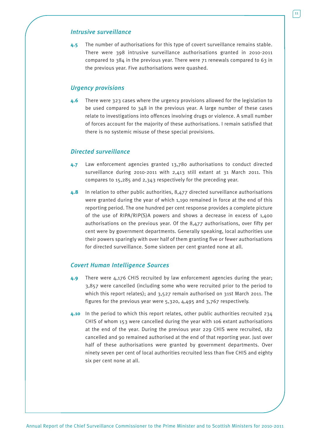#### *Intrusive surveillance*

**4.5** The number of authorisations for this type of covert surveillance remains stable. There were 398 intrusive surveillance authorisations granted in 2010-2011 compared to 384 in the previous year. There were 71 renewals compared to 63 in the previous year. Five authorisations were quashed.

#### *Urgency provisions*

**4.6** There were 323 cases where the urgency provisions allowed for the legislation to be used compared to  $348$  in the previous year. A large number of these cases relate to investigations into offences involving drugs or violence. A small number of forces account for the majority of these authorisations. I remain satisfied that there is no systemic misuse of these special provisions.

#### *Directed surveillance*

- **4.7** Law enforcement agencies granted 13,780 authorisations to conduct directed surveillance during 2010-2011 with 2,413 still extant at 31 March 2011. This compares to 15,285 and 2,343 respectively for the preceding year.
- **4.8** In relation to other public authorities, 8,477 directed surveillance authorisations were granted during the year of which 1,190 remained in force at the end of this reporting period. The one hundred per cent response provides a complete picture of the use of RIPA/RIP(S)A powers and shows a decrease in excess of 1,400 authorisations on the previous year. Of the 8,477 authorisations, over fifty per cent were by government departments. Generally speaking, local authorities use their powers sparingly with over half of them granting five or fewer authorisations for directed surveillance. Some sixteen per cent granted none at all.

#### *Covert Human Intelligence Sources*

- **4.9** There were 4,176 CHIS recruited by law enforcement agencies during the year; 3,857 were cancelled (including some who were recruited prior to the period to which this report relates); and 3,527 remain authorised on 31st March 2011. The figures for the previous year were 5,320, 4,495 and 3,767 respectively.
- **4.10** In the period to which this report relates, other public authorities recruited 234 CHIS of whom 153 were cancelled during the year with 106 extant authorisations at the end of the year. During the previous year 229 CHIS were recruited, 182 cancelled and 90 remained authorised at the end of that reporting year. Just over half of these authorisations were granted by government departments. Over ninety seven per cent of local authorities recruited less than five CHIS and eighty six per cent none at all.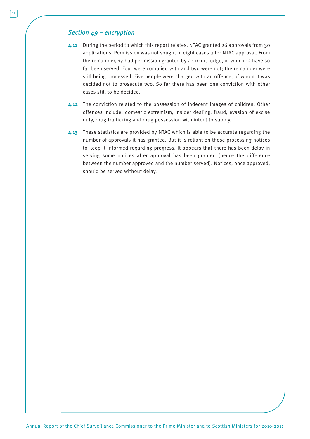#### *Section 49 – encryption*

- **4.11** During the period to which this report relates, NTAC granted 26 approvals from 30 applications. Permission was not sought in eight cases after NTAC approval. From the remainder, 17 had permission granted by a Circuit Judge, of which 12 have so far been served. Four were complied with and two were not; the remainder were still being processed. Five people were charged with an offence, of whom it was decided not to prosecute two. So far there has been one conviction with other cases still to be decided.
- **4.12** The conviction related to the possession of indecent images of children. Other offences include: domestic extremism, insider dealing, fraud, evasion of excise duty, drug trafficking and drug possession with intent to supply.
- **4.13** These statistics are provided by NTAC which is able to be accurate regarding the number of approvals it has granted. But it is reliant on those processing notices to keep it informed regarding progress. It appears that there has been delay in serving some notices after approval has been granted (hence the difference between the number approved and the number served). Notices, once approved, should be served without delay.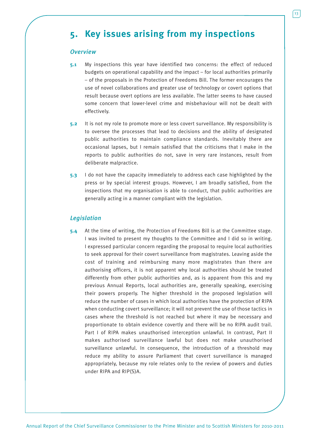## **5. Key issues arising from my inspections**

#### *Overview*

- **5.1** My inspections this year have identified two concerns: the effect of reduced budgets on operational capability and the impact – for local authorities primarily – of the proposals in the Protection of Freedoms Bill. The former encourages the use of novel collaborations and greater use of technology or covert options that result because overt options are less available. The latter seems to have caused some concern that lower-level crime and misbehaviour will not be dealt with effectively.
- **5.2** It is not my role to promote more or less covert surveillance. My responsibility is to oversee the processes that lead to decisions and the ability of designated public authorities to maintain compliance standards. Inevitably there are occasional lapses, but I remain satisfied that the criticisms that I make in the reports to public authorities do not, save in very rare instances, result from deliberate malpractice.
- **5.3** I do not have the capacity immediately to address each case highlighted by the press or by special interest groups. However, I am broadly satisfied, from the inspections that my organisation is able to conduct, that public authorities are generally acting in a manner compliant with the legislation.

#### *Legislation*

**5.4** At the time of writing, the Protection of Freedoms Bill is at the Committee stage. I was invited to present my thoughts to the Committee and I did so in writing. I expressed particular concern regarding the proposal to require local authorities to seek approval for their covert surveillance from magistrates. Leaving aside the cost of training and reimbursing many more magistrates than there are authorising officers, it is not apparent why local authorities should be treated differently from other public authorities and, as is apparent from this and my previous Annual Reports, local authorities are, generally speaking, exercising their powers properly. The higher threshold in the proposed legislation will reduce the number of cases in which local authorities have the protection of RIPA when conducting covert surveillance; it will not prevent the use of those tactics in cases where the threshold is not reached but where it may be necessary and proportionate to obtain evidence covertly and there will be no RIPA audit trail. Part I of RIPA makes unauthorised interception unlawful. In contrast, Part II makes authorised surveillance lawful but does not make unauthorised surveillance unlawful. In consequence, the introduction of a threshold may reduce my ability to assure Parliament that covert surveillance is managed appropriately, because my role relates only to the review of powers and duties under RIPA and RIP(S)A.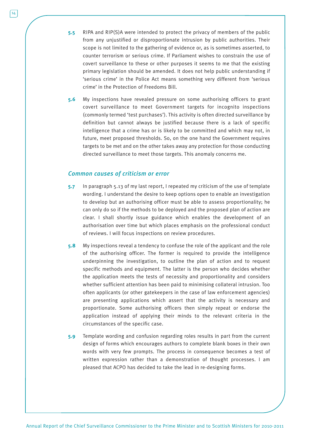- **5.5** RIPA and RIP(S)A were intended to protect the privacy of members of the public from any unjustified or disproportionate intrusion by public authorities. Their scope is not limited to the gathering of evidence or, as is sometimes asserted, to counter terrorism or serious crime. If Parliament wishes to constrain the use of covert surveillance to these or other purposes it seems to me that the existing primary legislation should be amended. It does not help public understanding if 'serious crime' in the Police Act means something very different from 'serious crime' in the Protection of Freedoms Bill.
- **5.6** My inspections have revealed pressure on some authorising officers to grant covert surveillance to meet Government targets for incognito inspections (commonly termed 'test purchases'). This activity is often directed surveillance by definition but cannot always be justified because there is a lack of specific intelligence that a crime has or is likely to be committed and which may not, in future, meet proposed thresholds. So, on the one hand the Government requires targets to be met and on the other takes away any protection for those conducting directed surveillance to meet those targets. This anomaly concerns me.

#### *Common causes of criticism or error*

- **5.7** In paragraph 5.13 of my last report, I repeated my criticism of the use of template wording. I understand the desire to keep options open to enable an investigation to develop but an authorising officer must be able to assess proportionality; he can only do so if the methods to be deployed and the proposed plan of action are clear. I shall shortly issue guidance which enables the development of an authorisation over time but which places emphasis on the professional conduct of reviews. I will focus inspections on review procedures.
- **5.8** My inspections reveal a tendency to confuse the role of the applicant and the role of the authorising officer. The former is required to provide the intelligence underpinning the investigation, to outline the plan of action and to request specific methods and equipment. The latter is the person who decides whether the application meets the tests of necessity and proportionality and considers whether sufficient attention has been paid to minimising collateral intrusion. Too often applicants (or other gatekeepers in the case of law enforcement agencies) are presenting applications which assert that the activity is necessary and proportionate. Some authorising officers then simply repeat or endorse the application instead of applying their minds to the relevant criteria in the circumstances of the specific case.
- **5.9** Template wording and confusion regarding roles results in part from the current design of forms which encourages authors to complete blank boxes in their own words with very few prompts. The process in consequence becomes a test of written expression rather than a demonstration of thought processes. I am pleased that ACPO has decided to take the lead in re-designing forms.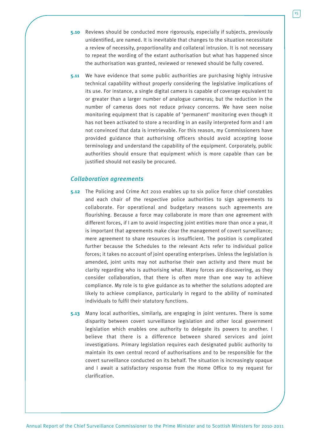- **5.10** Reviews should be conducted more rigorously, especially if subjects, previously unidentified, are named. It is inevitable that changes to the situation necessitate a review of necessity, proportionality and collateral intrusion. It is not necessary to repeat the wording of the extant authorisation but what has happened since the authorisation was granted, reviewed or renewed should be fully covered.
- **5.11** We have evidence that some public authorities are purchasing highly intrusive technical capability without properly considering the legislative implications of its use. For instance, a single digital camera is capable of coverage equivalent to or greater than a larger number of analogue cameras; but the reduction in the number of cameras does not reduce privacy concerns. We have seen noise monitoring equipment that is capable of 'permanent' monitoring even though it has not been activated to store a recording in an easily interpreted form and I am not convinced that data is irretrievable. For this reason, my Commissioners have provided guidance that authorising officers should avoid accepting loose terminology and understand the capability of the equipment. Corporately, public authorities should ensure that equipment which is more capable than can be justified should not easily be procured.

#### *Collaboration agreements*

- **5.12** The Policing and Crime Act 2010 enables up to six police force chief constables and each chair of the respective police authorities to sign agreements to collaborate. For operational and budgetary reasons such agreements are flourishing. Because a force may collaborate in more than one agreement with different forces, if I am to avoid inspecting joint entities more than once a year, it is important that agreements make clear the management of covert surveillance; mere agreement to share resources is insufficient. The position is complicated further because the Schedules to the relevant Acts refer to individual police forces; it takes no account of joint operating enterprises. Unless the legislation is amended, joint units may not authorise their own activity and there must be clarity regarding who is authorising what. Many forces are discovering, as they consider collaboration, that there is often more than one way to achieve compliance. My role is to give guidance as to whether the solutions adopted are likely to achieve compliance, particularly in regard to the ability of nominated individuals to fulfil their statutory functions.
- **5.13** Many local authorities, similarly, are engaging in joint ventures. There is some disparity between covert surveillance legislation and other local government legislation which enables one authority to delegate its powers to another. I believe that there is a difference between shared services and joint investigations. Primary legislation requires each designated public authority to maintain its own central record of authorisations and to be responsible for the covert surveillance conducted on its behalf. The situation is increasingly opaque and I await a satisfactory response from the Home Office to my request for clarification.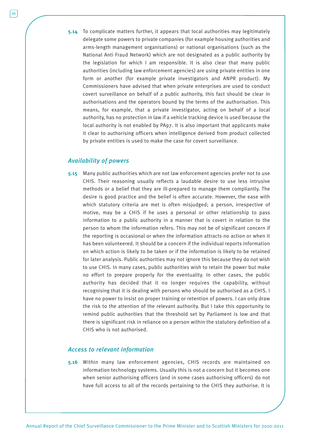**5.14** To complicate matters further, it appears that local authorities may legitimately delegate some powers to private companies (for example housing authorities and arms-length management organisations) or national organisations (such as the National Anti Fraud Network) which are not designated as a public authority by the legislation for which I am responsible. It is also clear that many public authorities (including law enforcement agencies) are using private entities in one form or another (for example private investigators and ANPR product). My Commissioners have advised that when private enterprises are used to conduct covert surveillance on behalf of a public authority, this fact should be clear in authorisations and the operators bound by the terms of the authorisation. This means, for example, that a private investigator, acting on behalf of a local authority, has no protection in law if a vehicle tracking device is used because the local authority is not enabled by PA97. It is also important that applicants make it clear to authorising officers when intelligence derived from product collected by private entities is used to make the case for covert surveillance.

#### *Availability of powers*

**5.15** Many public authorities which are not law enforcement agencies prefer not to use CHIS. Their reasoning usually reflects a laudable desire to use less intrusive methods or a belief that they are ill-prepared to manage them compliantly. The desire is good practice and the belief is often accurate. However, the ease with which statutory criteria are met is often misjudged; a person, irrespective of motive, may be a CHIS if he uses a personal or other relationship to pass information to a public authority in a manner that is covert in relation to the person to whom the information refers. This may not be of significant concern if the reporting is occasional or when the information attracts no action or when it has been volunteered. It should be a concern if the individual reports information on which action is likely to be taken or if the information is likely to be retained for later analysis. Public authorities may not ignore this because they do not wish to use CHIS. In many cases, public authorities wish to retain the power but make no effort to prepare properly for the eventuality. In other cases, the public authority has decided that it no longer requires the capability, without recognising that it is dealing with persons who should be authorised as a CHIS. I have no power to insist on proper training or retention of powers. I can only draw the risk to the attention of the relevant authority. But I take this opportunity to remind public authorities that the threshold set by Parliament is low and that there is significant risk in reliance on a person within the statutory definition of a CHIS who is not authorised.

#### *Access to relevant information*

**5.16** Within many law enforcement agencies, CHIS records are maintained on information technology systems. Usually this is not a concern but it becomes one when senior authorising officers (and in some cases authorising officers) do not have full access to all of the records pertaining to the CHIS they authorise. It is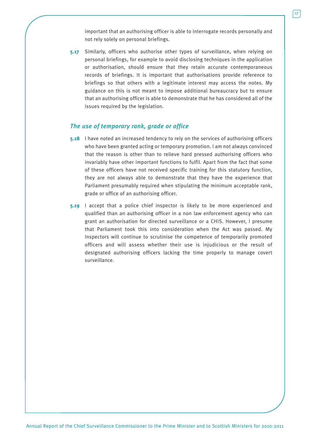important that an authorising officer is able to interrogate records personally and not rely solely on personal briefings.

**5.17** Similarly, officers who authorise other types of surveillance, when relying on personal briefings, for example to avoid disclosing techniques in the application or authorisation, should ensure that they retain accurate contemporaneous records of briefings. It is important that authorisations provide reference to briefings so that others with a legitimate interest may access the notes. My guidance on this is not meant to impose additional bureaucracy but to ensure that an authorising officer is able to demonstrate that he has considered all of the issues required by the legislation.

#### *The use of temporary rank, grade or office*

- **5.18** I have noted an increased tendency to rely on the services of authorising officers who have been granted acting or temporary promotion. I am not always convinced that the reason is other than to relieve hard pressed authorising officers who invariably have other important functions to fulfil. Apart from the fact that some of these officers have not received specific training for this statutory function, they are not always able to demonstrate that they have the experience that Parliament presumably required when stipulating the minimum acceptable rank, grade or office of an authorising officer.
- **5.19** I accept that a police chief inspector is likely to be more experienced and qualified than an authorising officer in a non law enforcement agency who can grant an authorisation for directed surveillance or a CHIS. However, I presume that Parliament took this into consideration when the Act was passed. My Inspectors will continue to scrutinise the competence of temporarily promoted officers and will assess whether their use is injudicious or the result of designated authorising officers lacking the time properly to manage covert surveillance.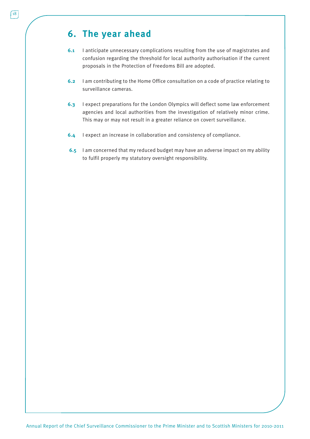## **6. The year ahead**

- **6.1** I anticipate unnecessary complications resulting from the use of magistrates and confusion regarding the threshold for local authority authorisation if the current proposals in the Protection of Freedoms Bill are adopted.
- **6.2** I am contributing to the Home Office consultation on a code of practice relating to surveillance cameras.
- **6.3** I expect preparations for the London Olympics will deflect some law enforcement agencies and local authorities from the investigation of relatively minor crime. This may or may not result in a greater reliance on covert surveillance.
- **6.4** I expect an increase in collaboration and consistency of compliance.
- **6.5** I am concerned that my reduced budget may have an adverse impact on my ability to fulfil properly my statutory oversight responsibility.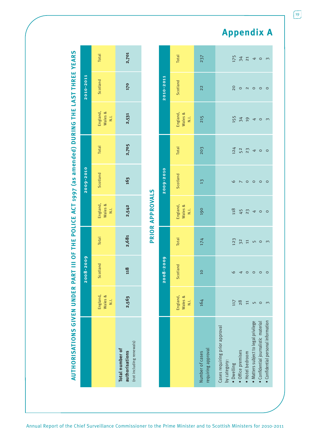AUTHORISATIONS GIVEN UNDER PART III OF THE POLICE ACT 1997 (as amended) DURING THE LAST THREE YEARS AUTHORISATIONS GIVEN UNDER PART III OF THE POLICE ACT 1997 (as amended) DURING THE LAST THREE YEARS

|                                                              |                                                 | 2008-2009 |              |                                                 | 2009-2010 |              |                                      | 2010-2011 |              |
|--------------------------------------------------------------|-------------------------------------------------|-----------|--------------|-------------------------------------------------|-----------|--------------|--------------------------------------|-----------|--------------|
|                                                              | England,<br><b>Nales &amp;</b><br>$\frac{1}{2}$ | Scotland  | <b>Total</b> | England,<br>Wales &<br>$\frac{1}{\overline{z}}$ | Scotland  | <b>Total</b> | England,<br>Wales &<br>$\frac{1}{2}$ | Scotland  | <b>Total</b> |
| (not including renewals)<br>Total number of<br>uthorisations | 2,563                                           | 118       | 2,681        | 2,542                                           | 163       | 2,705        | 2,531                                | 170       | 2,701        |

# PRIOR APPROVALS **PRIOR APPROVALS**

|                                                                                                                                                                                                                             |                                      | 2008-2009                                     |                    |                                                           | 2009-2010                               |                                                         |                                         | 2010-2011                                |                                                                |
|-----------------------------------------------------------------------------------------------------------------------------------------------------------------------------------------------------------------------------|--------------------------------------|-----------------------------------------------|--------------------|-----------------------------------------------------------|-----------------------------------------|---------------------------------------------------------|-----------------------------------------|------------------------------------------|----------------------------------------------------------------|
|                                                                                                                                                                                                                             | England,<br>Wales &<br>$\frac{1}{2}$ | Scotland                                      | <b>Total</b>       | England,<br>Wales &<br>$\frac{1}{\mathbf{z}}$             | Scotland                                | <b>Total</b>                                            | England,<br>Wales &<br>$\overline{N}$ . | Scotland                                 | <b>Total</b>                                                   |
| requiring approval<br>Number of cases                                                                                                                                                                                       | 164                                  | $\overline{a}$                                | 174                | 190                                                       | $\frac{1}{2}$                           | 203                                                     | 215                                     | 22                                       | 237                                                            |
| • Confidential personal information<br>· Matters subject to legal privilege<br>· Confidential journalistic material<br>Cases requiring prior approval<br>· Office premises<br>· Hotel bedroom<br>by category:<br>· Dwelling | 117<br>28<br>$\mathbf{1}$            | $\circ$<br>$\circ$<br>$\circ$<br>$\circ$<br>0 | 123<br>32<br>$\Xi$ | 118<br>$45$<br>23<br>$\overline{4}$<br>$\circ$<br>$\circ$ | $\circ$<br>0<br>$\circ$<br>$\circ$<br>0 | 124<br>52<br>23<br>$\overline{4}$<br>$\circ$<br>$\circ$ | 55 4 9<br>4<br>$\circ$                  | 20<br>$\circ$<br>$\circ$<br>0<br>$\circ$ | 175<br>34<br>$\overline{21}$<br>$\overline{4}$<br>$\circ$<br>ξ |

## **Appendix A**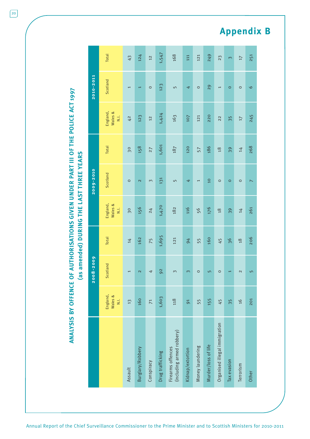| <b>ANALYSIS BY OFFENCE OF AUTHORISATIONS GIVEN UNDER PART III OF THE POLICE ACT 1997</b> |                                          |
|------------------------------------------------------------------------------------------|------------------------------------------|
|                                                                                          | (as amended) DURING THE LAST THREE YEARS |
|                                                                                          |                                          |

|                                                |                                      | 2008-2009         |               |                                      | 2009-2010               |              |                                      | 2010-2011 |          |
|------------------------------------------------|--------------------------------------|-------------------|---------------|--------------------------------------|-------------------------|--------------|--------------------------------------|-----------|----------|
|                                                | England,<br>Wales &<br>$\frac{1}{2}$ | Scotland          | <b>Total</b>  | England,<br>Wales &<br>$\frac{1}{2}$ | Scotland                | <b>Total</b> | England,<br>Wales &<br>$\frac{1}{2}$ | Scotland  | Total    |
| Assault                                        | 13                                   | 1                 | 14            | 30                                   | $\circ$                 | 30           | 42                                   | I         | 43       |
| Burglary/Robbery                               | 160                                  | $\mathbf{\Omega}$ | 162           | 156                                  | $\overline{\mathsf{C}}$ | 158          | 123                                  | 1         | 124      |
| Conspiracy                                     | $\overline{71}$                      | 4                 | 75            | 24                                   | $\sim$                  | 27           | 12                                   | $\circ$   | 12       |
| Drug trafficking                               | 1,603                                | 92                | 1,695         | 1,470                                | 131                     | 1,601        | 1,424                                | 123       | 1,547    |
| (including armed robbery)<br>Firearms offences | 118                                  | 3                 | 121           | 182                                  | 5                       | 187          | 163                                  | 5         | 168      |
| Kidnap/extortion                               | 91                                   | $\infty$          | 94            | 116                                  | 4                       | 120          | 107                                  | 4         | 111      |
| Money laundering                               | 55                                   | $\circ$           | 55            | 56                                   | I                       | 57           | 121                                  | $\circ$   | 121      |
| Murder/loss of life                            | 155                                  | 5                 | 160           | 176                                  | Q <sub>1</sub>          | 186          | <b>220</b>                           | 29        | 249      |
| Organised illegal immigration                  | 45                                   | $\circ$           | 45            | 18                                   | $\circ$                 | 18           | 22                                   | I         | 23       |
| Tax evasion                                    | 35                                   | $\overline{ }$    | 36            | 39                                   | $\circ$                 | 39           | 35                                   | $\circ$   | $\omega$ |
| Terrorism                                      | $\frac{6}{1}$                        | $\mathbf{\Omega}$ | $\frac{8}{2}$ | 14                                   | $\circ$                 | 14           | 17                                   | $\circ$   | 17       |
| Other                                          | <b>201</b>                           | 5                 | 206           | 261                                  | $\overline{ }$          | 268          | 245                                  | $\circ$   | 251      |

**Appendix B**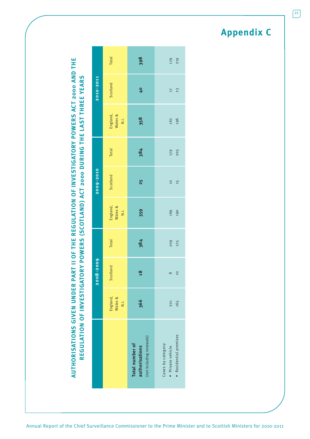AUTHORISATIONS GIVEN UNDER PART II OF THE REGULATION OF INVESTIGATORY POWERS ACT 2000 AND THE AUTHORISATIONS GIVEN UNDER PART II OF THE REGULATION OF INVESTIGATORY POWERS ACT 2000 AND THE REGULATION OF INVESTIGATORY POWERS (SCOTLAND) ACT 2000 DURING THE LAST THREE YEARS REGULATION OF INVESTIGATORY POWERS (SCOTLAND) ACT 2000 DURING THE LAST THREE YEARS

|                                                                   |                                      | 2008-2009      |              |                             | 2009-2010            |              |                                         | 2010-2011 |              |
|-------------------------------------------------------------------|--------------------------------------|----------------|--------------|-----------------------------|----------------------|--------------|-----------------------------------------|-----------|--------------|
|                                                                   | England,<br>Wales &<br>$\frac{1}{2}$ | Scotland       | <b>Total</b> | England,<br>Wales &<br>N.l. | Scotland             | <b>Total</b> | England,<br>Wales &<br>$\overline{N}$ . | Scotland  | <b>Total</b> |
| (not including renewals)<br>Total number of<br>authorisations     | 366                                  | $\frac{8}{18}$ | 384          | 359                         | 25                   | 384          | 358                                     | 40        | 398          |
| · Residential premises<br>Cases by category:<br>· Private vehicle | 165<br><b>201</b>                    | 10<br>$\infty$ | 209<br>175   | 169<br>190                  | $\overline{0}$<br>15 | 179<br>205   | 162<br>196                              | 23<br>17  | 179<br>219   |

## **Appendix C**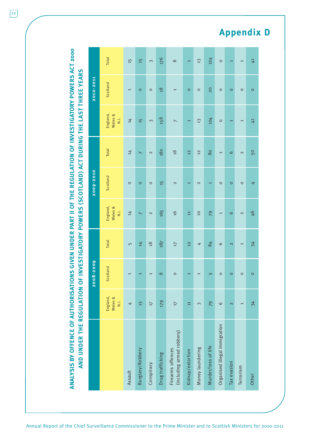ANALYSIS BY OFFENCE OF AUTHORISATIONS GIVEN UNDER PART II OF THE REGULATION OF INVESTIGATORY POWERS ACT 2000 ANALYSIS BY OFFENCE OF AUTHORISATIONS GIVEN UNDER PART II OF THE REGULATION OF INVESTIGATORY POWERS ACT 2000 AND UNDER THE REGULATION OF INVESTIGATORY POWERS (SCOTLAND) ACT DURING THE LAST THREE YEARS AND UNDER THE REGULATION OF INVESTIGATORY POWERS (SCOTLAND) ACT DURING THE LAST THREE YEARS

|                                                |                                      | 2008-2009                |                   |                                      | 2009-2010               |                          |                                      | 2010-2011      |                          |
|------------------------------------------------|--------------------------------------|--------------------------|-------------------|--------------------------------------|-------------------------|--------------------------|--------------------------------------|----------------|--------------------------|
|                                                | England,<br>Wales &<br>$\frac{1}{2}$ | Scotland                 | <b>Total</b>      | England,<br>Wales &<br>$\frac{1}{2}$ | Scotland                | <b>Total</b>             | England,<br>Wales &<br>$\frac{1}{2}$ | Scotland       | Total                    |
| Assault                                        | 4                                    | 1                        | 5                 | $\overline{4}$                       | $\circ$                 | $\overline{14}$          | $\overline{4}$                       | $\overline{ }$ | 15                       |
| Burglary/Robbery                               | $\mathfrak{L}$                       | 1                        | $\frac{1}{4}$     | $\triangleright$                     | $\circ$                 | $\overline{\phantom{0}}$ | 45                                   | $\circ$        | 45                       |
| Conspiracy                                     | $\overline{17}$                      | 1                        | $\frac{8}{2}$     | $\mathbf{\Omega}$                    | $\circ$                 | $\mathbf{\Omega}$        | $\sim$                               | $\circ$        | $\infty$                 |
| Drug trafficking                               | 179                                  | $\infty$                 | 187               | 165                                  | 45                      | 180                      | 158                                  | $\frac{8}{2}$  | 176                      |
| (including armed robbery)<br>Firearms offences | 17                                   | $\circ$                  | 17                | $\frac{6}{2}$                        | $\overline{\mathsf{C}}$ | $\frac{8}{2}$            | $\overline{ }$                       | 1              | $\infty$                 |
| Kidnap/extortion                               | $\Xi$                                | $\overline{\phantom{0}}$ | 12                | $\overline{1}$                       | $\overline{ }$          | 12                       | $\overline{ }$                       | $\circ$        | $\overline{\phantom{0}}$ |
| Money laundering                               | $\sim$                               | 1                        | 4                 | $\overline{0}$                       | $\mathbf{\Omega}$       | 12                       | 13                                   | $\circ$        | 13                       |
| Murder/loss of life                            | 79                                   | $\overline{5}$           | 84                | 79                                   | $\overline{ }$          | 80                       | 104                                  | 20             | 124                      |
| Organised illegal immigration                  | $\circ$                              | $\circ$                  | $\circ$           | I                                    | $\circ$                 | I                        | $\circ$                              | $\circ$        | $\circ$                  |
| Tax evasion                                    | $\overline{\mathbf{C}}$              | $\circ$                  | $\mathbf{\Omega}$ | $\circ$                              | $\circ$                 | $\circ$                  | $\overline{\phantom{0}}$             | $\circ$        | $\overline{\phantom{0}}$ |
| Terrorism                                      | 1                                    | $\circ$                  | 1                 | $\mathbf{\Omega}$                    | $\circ$                 | $\mathbf{\Omega}$        | $\overline{ }$                       | $\circ$        | 1                        |
| Other                                          | 34                                   | $\circ$                  | 34                | $\frac{9}{7}$                        | 4                       | 50                       | 41                                   | $\circ$        | 41                       |

## **Appendix D**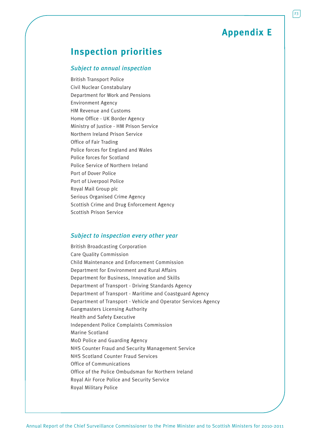## **Appendix E**

## **Inspection priorities**

#### *Subject to annual inspection*

British Transport Police Civil Nuclear Constabulary Department for Work and Pensions Environment Agency HM Revenue and Customs Home Office - UK Border Agency Ministry of Justice - HM Prison Service Northern Ireland Prison Service Office of Fair Trading Police forces for England and Wales Police forces for Scotland Police Service of Northern Ireland Port of Dover Police Port of Liverpool Police Royal Mail Group plc Serious Organised Crime Agency Scottish Crime and Drug Enforcement Agency Scottish Prison Service

#### *Subject to inspection every other year*

British Broadcasting Corporation Care Quality Commission Child Maintenance and Enforcement Commission Department for Environment and Rural Affairs Department for Business, Innovation and Skills Department of Transport - Driving Standards Agency Department of Transport - Maritime and Coastguard Agency Department of Transport - Vehicle and Operator Services Agency Gangmasters Licensing Authority Health and Safety Executive Independent Police Complaints Commission Marine Scotland MoD Police and Guarding Agency NHS Counter Fraud and Security Management Service NHS Scotland Counter Fraud Services Office of Communications Office of the Police Ombudsman for Northern Ireland Royal Air Force Police and Security Service Royal Military Police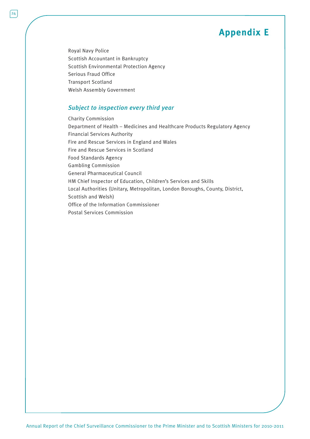## **Appendix E**

Royal Navy Police Scottish Accountant in Bankruptcy Scottish Environmental Protection Agency Serious Fraud Office Transport Scotland Welsh Assembly Government

#### *Subject to inspection every third year*

Charity Commission Department of Health – Medicines and Healthcare Products Regulatory Agency Financial Services Authority Fire and Rescue Services in England and Wales Fire and Rescue Services in Scotland Food Standards Agency Gambling Commission General Pharmaceutical Council HM Chief Inspector of Education, Children's Services and Skills Local Authorities (Unitary, Metropolitan, London Boroughs, County, District, Scottish and Welsh) Office of the Information Commissioner Postal Services Commission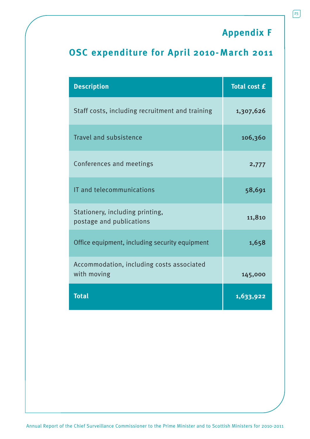## **Appendix F**

## **OSC expenditure for April 2010- March 2011**

| <b>Description</b>                                          | <b>Total cost £</b> |
|-------------------------------------------------------------|---------------------|
| Staff costs, including recruitment and training             | 1,307,626           |
| <b>Travel and subsistence</b>                               | 106,360             |
| Conferences and meetings                                    | 2,777               |
| IT and telecommunications                                   | 58,691              |
| Stationery, including printing,<br>postage and publications | 11,810              |
| Office equipment, including security equipment              | 1,658               |
| Accommodation, including costs associated<br>with moving    | 145,000             |
| <b>Total</b>                                                | 1,633,922           |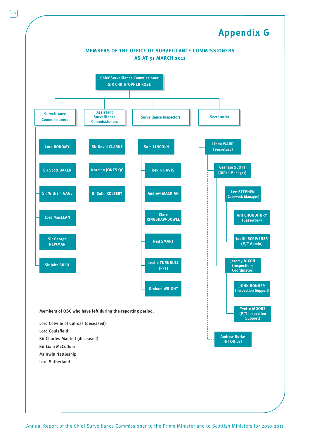